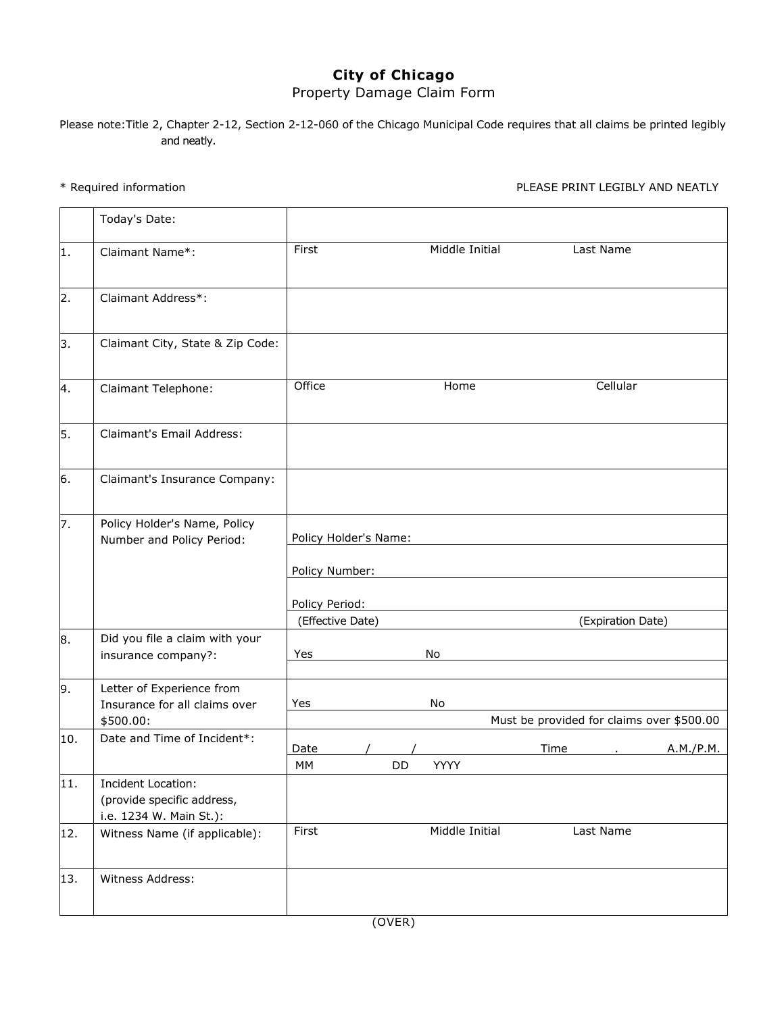## **City of Chicago**  Property Damage Claim Form

Please note:Title 2, Chapter 2-12, Section 2-12-060 of the Chicago Municipal Code requires that all claims be printed legibly and neatly.

\* Required information PLEASE PRINT LEGIBLY AND NEATLY

|     | Today's Date:                                                               |                       |           |                |      |                   |                                           |
|-----|-----------------------------------------------------------------------------|-----------------------|-----------|----------------|------|-------------------|-------------------------------------------|
| 1.  | Claimant Name*:                                                             | First                 |           | Middle Initial |      | Last Name         |                                           |
| 2.  | Claimant Address*:                                                          |                       |           |                |      |                   |                                           |
| 3.  | Claimant City, State & Zip Code:                                            |                       |           |                |      |                   |                                           |
| 4.  | Claimant Telephone:                                                         | Office                |           | Home           |      | Cellular          |                                           |
| 5.  | Claimant's Email Address:                                                   |                       |           |                |      |                   |                                           |
| 6.  | Claimant's Insurance Company:                                               |                       |           |                |      |                   |                                           |
| 7.  | Policy Holder's Name, Policy                                                |                       |           |                |      |                   |                                           |
|     | Number and Policy Period:                                                   | Policy Holder's Name: |           |                |      |                   |                                           |
|     |                                                                             | Policy Number:        |           |                |      |                   |                                           |
|     |                                                                             | Policy Period:        |           |                |      |                   |                                           |
|     |                                                                             | (Effective Date)      |           |                |      | (Expiration Date) |                                           |
| 8.  | Did you file a claim with your<br>insurance company?:                       | Yes                   |           | No             |      |                   |                                           |
| 9.  | Letter of Experience from                                                   |                       |           |                |      |                   |                                           |
|     | Insurance for all claims over                                               | Yes                   |           | No             |      |                   |                                           |
|     | \$500.00:                                                                   |                       |           |                |      |                   | Must be provided for claims over \$500.00 |
| 10. | Date and Time of Incident*:                                                 | Date                  |           |                | Time |                   | A.M./P.M.                                 |
|     |                                                                             | MM                    | <b>DD</b> | <b>YYYY</b>    |      |                   |                                           |
| 11. | Incident Location:<br>(provide specific address,<br>i.e. 1234 W. Main St.): |                       |           |                |      |                   |                                           |
| 12. | Witness Name (if applicable):                                               | First                 |           | Middle Initial |      | Last Name         |                                           |
| 13. | Witness Address:                                                            |                       |           |                |      |                   |                                           |